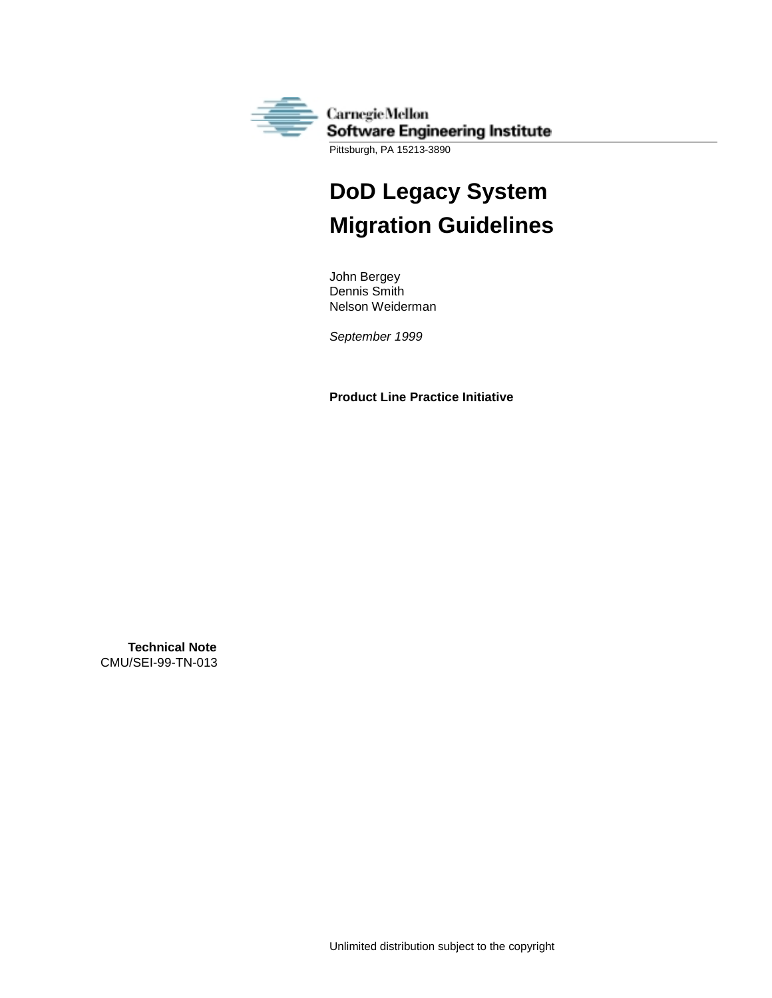

# **DoD Legacy System Migration Guidelines**

John Bergey Dennis Smith Nelson Weiderman

*September 1999*

**Product Line Practice Initiative**

**Technical Note** CMU/SEI-99-TN-013

Unlimited distribution subject to the copyright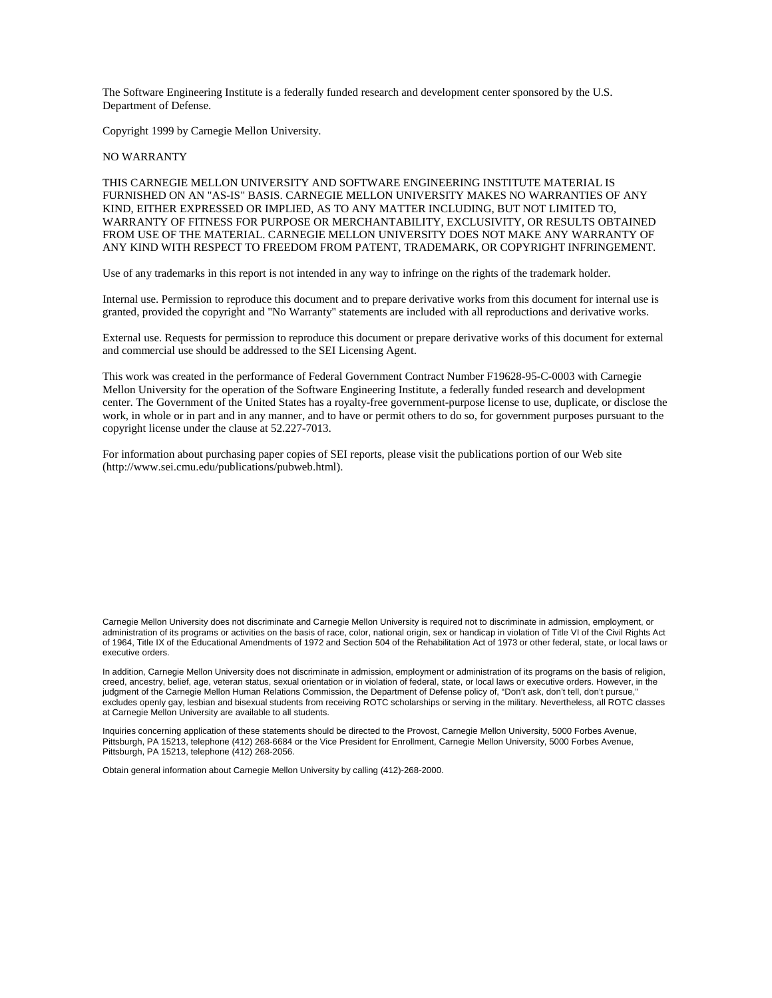The Software Engineering Institute is a federally funded research and development center sponsored by the U.S. Department of Defense.

Copyright 1999 by Carnegie Mellon University.

#### NO WARRANTY

THIS CARNEGIE MELLON UNIVERSITY AND SOFTWARE ENGINEERING INSTITUTE MATERIAL IS FURNISHED ON AN "AS-IS" BASIS. CARNEGIE MELLON UNIVERSITY MAKES NO WARRANTIES OF ANY KIND, EITHER EXPRESSED OR IMPLIED, AS TO ANY MATTER INCLUDING, BUT NOT LIMITED TO, WARRANTY OF FITNESS FOR PURPOSE OR MERCHANTABILITY, EXCLUSIVITY, OR RESULTS OBTAINED FROM USE OF THE MATERIAL. CARNEGIE MELLON UNIVERSITY DOES NOT MAKE ANY WARRANTY OF ANY KIND WITH RESPECT TO FREEDOM FROM PATENT, TRADEMARK, OR COPYRIGHT INFRINGEMENT.

Use of any trademarks in this report is not intended in any way to infringe on the rights of the trademark holder.

Internal use. Permission to reproduce this document and to prepare derivative works from this document for internal use is granted, provided the copyright and "No Warranty" statements are included with all reproductions and derivative works.

External use. Requests for permission to reproduce this document or prepare derivative works of this document for external and commercial use should be addressed to the SEI Licensing Agent.

This work was created in the performance of Federal Government Contract Number F19628-95-C-0003 with Carnegie Mellon University for the operation of the Software Engineering Institute, a federally funded research and development center. The Government of the United States has a royalty-free government-purpose license to use, duplicate, or disclose the work, in whole or in part and in any manner, and to have or permit others to do so, for government purposes pursuant to the copyright license under the clause at 52.227-7013.

For information about purchasing paper copies of SEI reports, please visit the publications portion of our Web site (http://www.sei.cmu.edu/publications/pubweb.html).

Carnegie Mellon University does not discriminate and Carnegie Mellon University is required not to discriminate in admission, employment, or administration of its programs or activities on the basis of race, color, national origin, sex or handicap in violation of Title VI of the Civil Rights Act of 1964, Title IX of the Educational Amendments of 1972 and Section 504 of the Rehabilitation Act of 1973 or other federal, state, or local laws or executive orders.

In addition, Carnegie Mellon University does not discriminate in admission, employment or administration of its programs on the basis of religion, creed, ancestry, belief, age, veteran status, sexual orientation or in violation of federal, state, or local laws or executive orders. However, in the judgment of the Carnegie Mellon Human Relations Commission, the Department of Defense policy of, "Don't ask, don't tell, don't pursue, excludes openly gay, lesbian and bisexual students from receiving ROTC scholarships or serving in the military. Nevertheless, all ROTC classes at Carnegie Mellon University are available to all students.

Inquiries concerning application of these statements should be directed to the Provost, Carnegie Mellon University, 5000 Forbes Avenue, Pittsburgh, PA 15213, telephone (412) 268-6684 or the Vice President for Enrollment, Carnegie Mellon University, 5000 Forbes Avenue, Pittsburgh, PA 15213, telephone (412) 268-2056.

Obtain general information about Carnegie Mellon University by calling (412)-268-2000.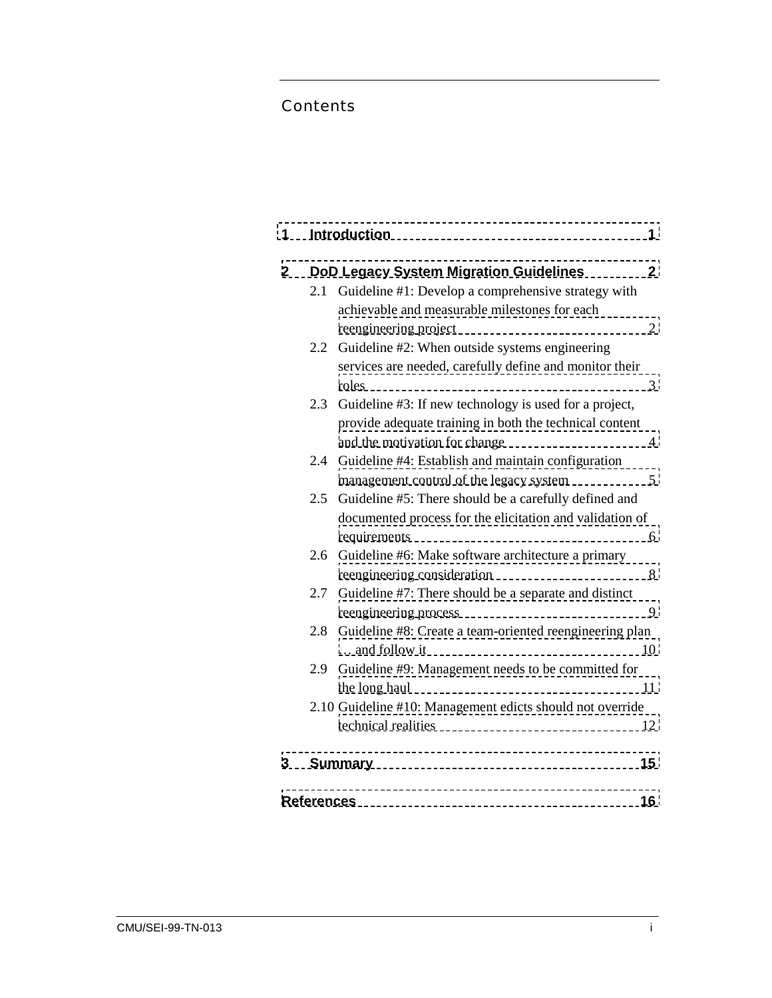### Contents

| 1                       |                      | <b>Introduction</b>                                         | 1                        |  |  |
|-------------------------|----------------------|-------------------------------------------------------------|--------------------------|--|--|
| $\mathbf{2}$            |                      | <b>DoD Legacy System Migration Guidelines</b>               | $\mathbf{2}$             |  |  |
|                         | 2.1                  | Guideline #1: Develop a comprehensive strategy with         |                          |  |  |
|                         |                      | achievable and measurable milestones for each               |                          |  |  |
|                         |                      | reengineering project                                       | 2                        |  |  |
|                         | 2.2                  | Guideline #2: When outside systems engineering              |                          |  |  |
|                         |                      | services are needed, carefully define and monitor their     |                          |  |  |
|                         |                      | roles                                                       | 3                        |  |  |
|                         | 2.3                  | Guideline #3: If new technology is used for a project,      |                          |  |  |
|                         |                      | provide adequate training in both the technical content     |                          |  |  |
|                         |                      | and the motivation for change                               | $\overline{\mathcal{A}}$ |  |  |
|                         |                      | 2.4 Guideline #4: Establish and maintain configuration      |                          |  |  |
|                         |                      | management control of the legacy system                     | 5                        |  |  |
|                         | 2.5                  | Guideline #5: There should be a carefully defined and       |                          |  |  |
|                         |                      | documented process for the elicitation and validation of    |                          |  |  |
|                         |                      | requirements                                                | 6                        |  |  |
|                         |                      | 2.6 Guideline #6: Make software architecture a primary      |                          |  |  |
|                         |                      | reengineering consideration                                 | 8                        |  |  |
|                         | 2.7                  | Guideline #7: There should be a separate and distinct       |                          |  |  |
|                         |                      | reengineering process                                       | 9                        |  |  |
|                         |                      | 2.8 Guideline #8: Create a team-oriented reengineering plan |                          |  |  |
|                         |                      | and follow it                                               | 10                       |  |  |
|                         | 2.9                  | Guideline #9: Management needs to be committed for          |                          |  |  |
|                         |                      | the long haul                                               | 11                       |  |  |
|                         |                      | 2.10 Guideline #10: Management edicts should not override   |                          |  |  |
|                         |                      | technical realities                                         | 12                       |  |  |
| 3                       | <b>Summary</b><br>15 |                                                             |                          |  |  |
| <b>References</b><br>16 |                      |                                                             |                          |  |  |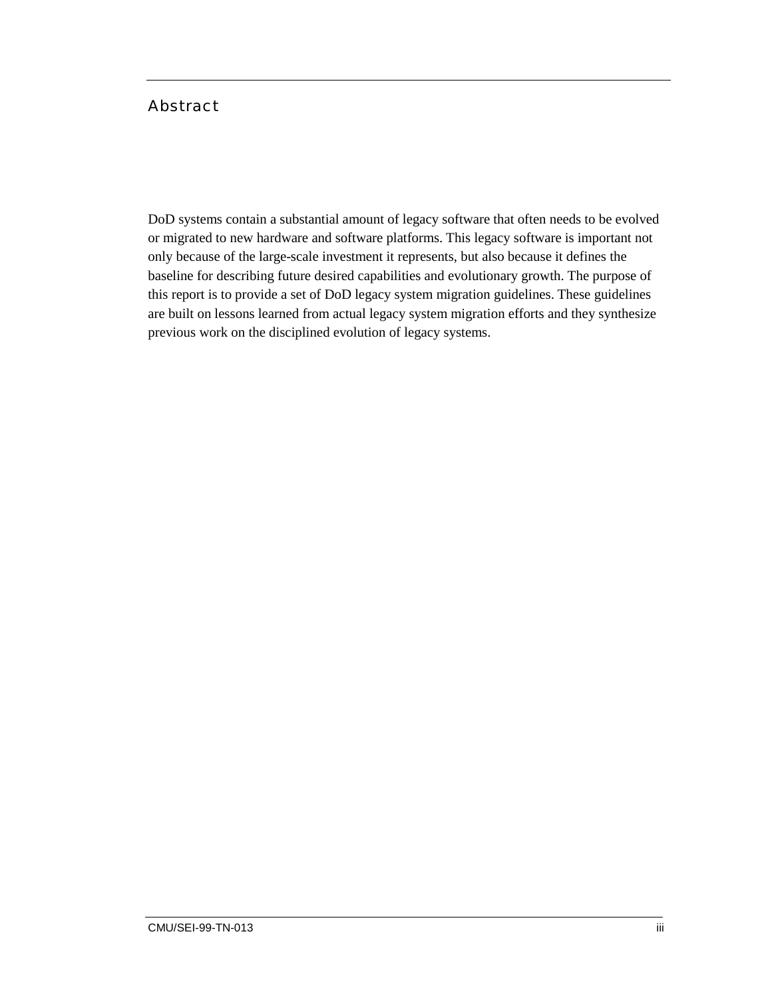#### Abstract

DoD systems contain a substantial amount of legacy software that often needs to be evolved or migrated to new hardware and software platforms. This legacy software is important not only because of the large-scale investment it represents, but also because it defines the baseline for describing future desired capabilities and evolutionary growth. The purpose of this report is to provide a set of DoD legacy system migration guidelines. These guidelines are built on lessons learned from actual legacy system migration efforts and they synthesize previous work on the disciplined evolution of legacy systems.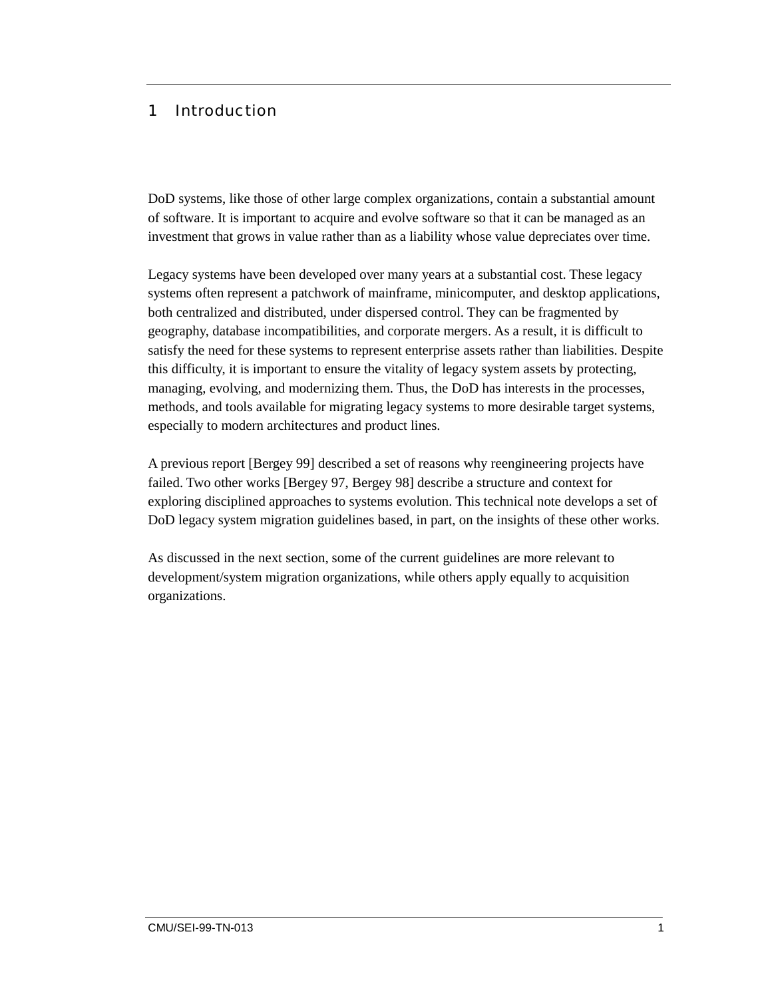#### <span id="page-6-0"></span>1 Introduction

DoD systems, like those of other large complex organizations, contain a substantial amount of software. It is important to acquire and evolve software so that it can be managed as an investment that grows in value rather than as a liability whose value depreciates over time.

Legacy systems have been developed over many years at a substantial cost. These legacy systems often represent a patchwork of mainframe, minicomputer, and desktop applications, both centralized and distributed, under dispersed control. They can be fragmented by geography, database incompatibilities, and corporate mergers. As a result, it is difficult to satisfy the need for these systems to represent enterprise assets rather than liabilities. Despite this difficulty, it is important to ensure the vitality of legacy system assets by protecting, managing, evolving, and modernizing them. Thus, the DoD has interests in the processes, methods, and tools available for migrating legacy systems to more desirable target systems, especially to modern architectures and product lines.

A previous report [Bergey 99] described a set of reasons why reengineering projects have failed. Two other works [Bergey 97, Bergey 98] describe a structure and context for exploring disciplined approaches to systems evolution. This technical note develops a set of DoD legacy system migration guidelines based, in part, on the insights of these other works.

As discussed in the next section, some of the current guidelines are more relevant to development/system migration organizations, while others apply equally to acquisition organizations.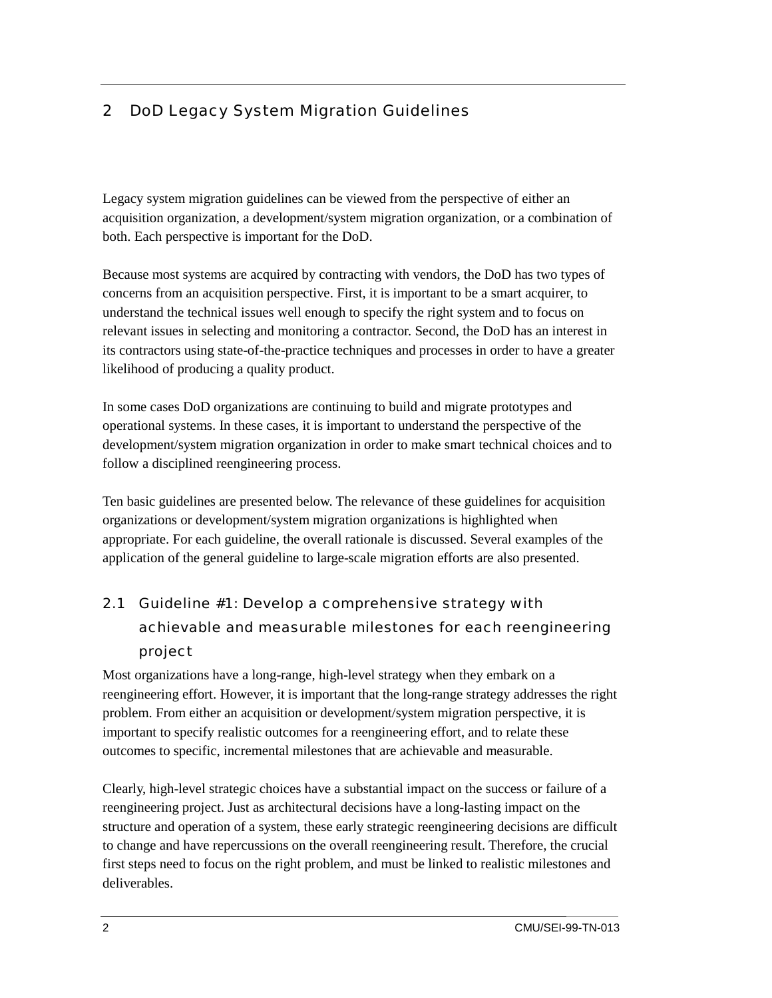### <span id="page-7-0"></span>2 DoD Legacy System Migration Guidelines

Legacy system migration guidelines can be viewed from the perspective of either an acquisition organization, a development/system migration organization, or a combination of both. Each perspective is important for the DoD.

Because most systems are acquired by contracting with vendors, the DoD has two types of concerns from an acquisition perspective. First, it is important to be a smart acquirer, to understand the technical issues well enough to specify the right system and to focus on relevant issues in selecting and monitoring a contractor. Second, the DoD has an interest in its contractors using state-of-the-practice techniques and processes in order to have a greater likelihood of producing a quality product.

In some cases DoD organizations are continuing to build and migrate prototypes and operational systems. In these cases, it is important to understand the perspective of the development/system migration organization in order to make smart technical choices and to follow a disciplined reengineering process.

Ten basic guidelines are presented below. The relevance of these guidelines for acquisition organizations or development/system migration organizations is highlighted when appropriate. For each guideline, the overall rationale is discussed. Several examples of the application of the general guideline to large-scale migration efforts are also presented.

### 2.1 Guideline #1: Develop a comprehensive strategy with achievable and measurable milestones for each reengineering project

Most organizations have a long-range, high-level strategy when they embark on a reengineering effort. However, it is important that the long-range strategy addresses the right problem. From either an acquisition or development/system migration perspective, it is important to specify realistic outcomes for a reengineering effort, and to relate these outcomes to specific, incremental milestones that are achievable and measurable.

Clearly, high-level strategic choices have a substantial impact on the success or failure of a reengineering project. Just as architectural decisions have a long-lasting impact on the structure and operation of a system, these early strategic reengineering decisions are difficult to change and have repercussions on the overall reengineering result. Therefore, the crucial first steps need to focus on the right problem, and must be linked to realistic milestones and deliverables.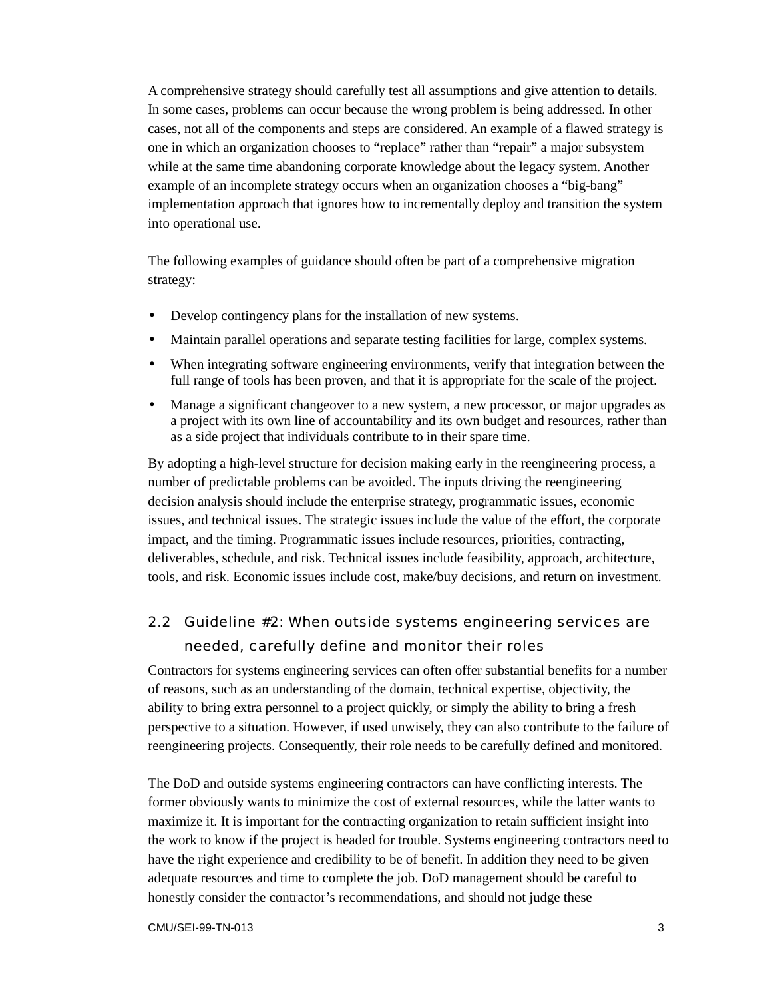<span id="page-8-0"></span>A comprehensive strategy should carefully test all assumptions and give attention to details. In some cases, problems can occur because the wrong problem is being addressed. In other cases, not all of the components and steps are considered. An example of a flawed strategy is one in which an organization chooses to "replace" rather than "repair" a major subsystem while at the same time abandoning corporate knowledge about the legacy system. Another example of an incomplete strategy occurs when an organization chooses a "big-bang" implementation approach that ignores how to incrementally deploy and transition the system into operational use.

The following examples of guidance should often be part of a comprehensive migration strategy:

- Develop contingency plans for the installation of new systems.
- Maintain parallel operations and separate testing facilities for large, complex systems.
- When integrating software engineering environments, verify that integration between the full range of tools has been proven, and that it is appropriate for the scale of the project.
- Manage a significant changeover to a new system, a new processor, or major upgrades as a project with its own line of accountability and its own budget and resources, rather than as a side project that individuals contribute to in their spare time.

By adopting a high-level structure for decision making early in the reengineering process, a number of predictable problems can be avoided. The inputs driving the reengineering decision analysis should include the enterprise strategy, programmatic issues, economic issues, and technical issues. The strategic issues include the value of the effort, the corporate impact, and the timing. Programmatic issues include resources, priorities, contracting, deliverables, schedule, and risk. Technical issues include feasibility, approach, architecture, tools, and risk. Economic issues include cost, make/buy decisions, and return on investment.

### 2.2 Guideline #2: When outside systems engineering services are needed, carefully define and monitor their roles

Contractors for systems engineering services can often offer substantial benefits for a number of reasons, such as an understanding of the domain, technical expertise, objectivity, the ability to bring extra personnel to a project quickly, or simply the ability to bring a fresh perspective to a situation. However, if used unwisely, they can also contribute to the failure of reengineering projects. Consequently, their role needs to be carefully defined and monitored.

The DoD and outside systems engineering contractors can have conflicting interests. The former obviously wants to minimize the cost of external resources, while the latter wants to maximize it. It is important for the contracting organization to retain sufficient insight into the work to know if the project is headed for trouble. Systems engineering contractors need to have the right experience and credibility to be of benefit. In addition they need to be given adequate resources and time to complete the job. DoD management should be careful to honestly consider the contractor's recommendations, and should not judge these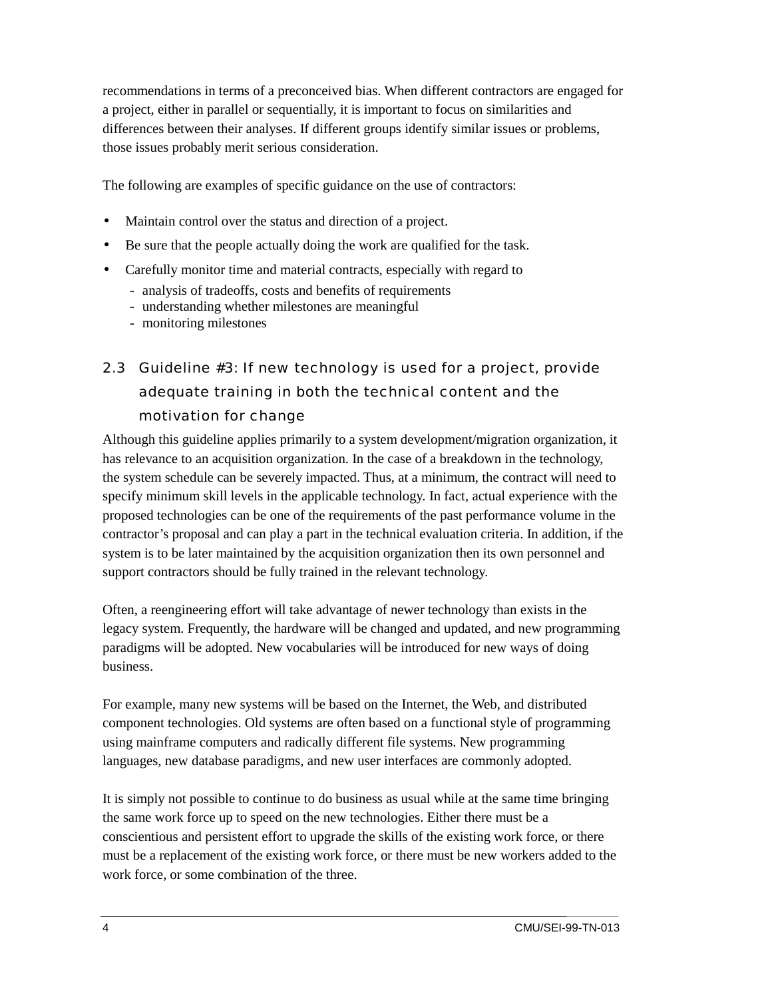<span id="page-9-0"></span>recommendations in terms of a preconceived bias. When different contractors are engaged for a project, either in parallel or sequentially, it is important to focus on similarities and differences between their analyses. If different groups identify similar issues or problems, those issues probably merit serious consideration.

The following are examples of specific guidance on the use of contractors:

- Maintain control over the status and direction of a project.
- Be sure that the people actually doing the work are qualified for the task.
- Carefully monitor time and material contracts, especially with regard to
	- analysis of tradeoffs, costs and benefits of requirements
	- understanding whether milestones are meaningful
	- monitoring milestones
- 2.3 Guideline #3: If new technology is used for a project, provide adequate training in both the technical content and the motivation for change

Although this guideline applies primarily to a system development/migration organization, it has relevance to an acquisition organization. In the case of a breakdown in the technology, the system schedule can be severely impacted. Thus, at a minimum, the contract will need to specify minimum skill levels in the applicable technology. In fact, actual experience with the proposed technologies can be one of the requirements of the past performance volume in the contractor's proposal and can play a part in the technical evaluation criteria. In addition, if the system is to be later maintained by the acquisition organization then its own personnel and support contractors should be fully trained in the relevant technology.

Often, a reengineering effort will take advantage of newer technology than exists in the legacy system. Frequently, the hardware will be changed and updated, and new programming paradigms will be adopted. New vocabularies will be introduced for new ways of doing business.

For example, many new systems will be based on the Internet, the Web, and distributed component technologies. Old systems are often based on a functional style of programming using mainframe computers and radically different file systems. New programming languages, new database paradigms, and new user interfaces are commonly adopted.

It is simply not possible to continue to do business as usual while at the same time bringing the same work force up to speed on the new technologies. Either there must be a conscientious and persistent effort to upgrade the skills of the existing work force, or there must be a replacement of the existing work force, or there must be new workers added to the work force, or some combination of the three.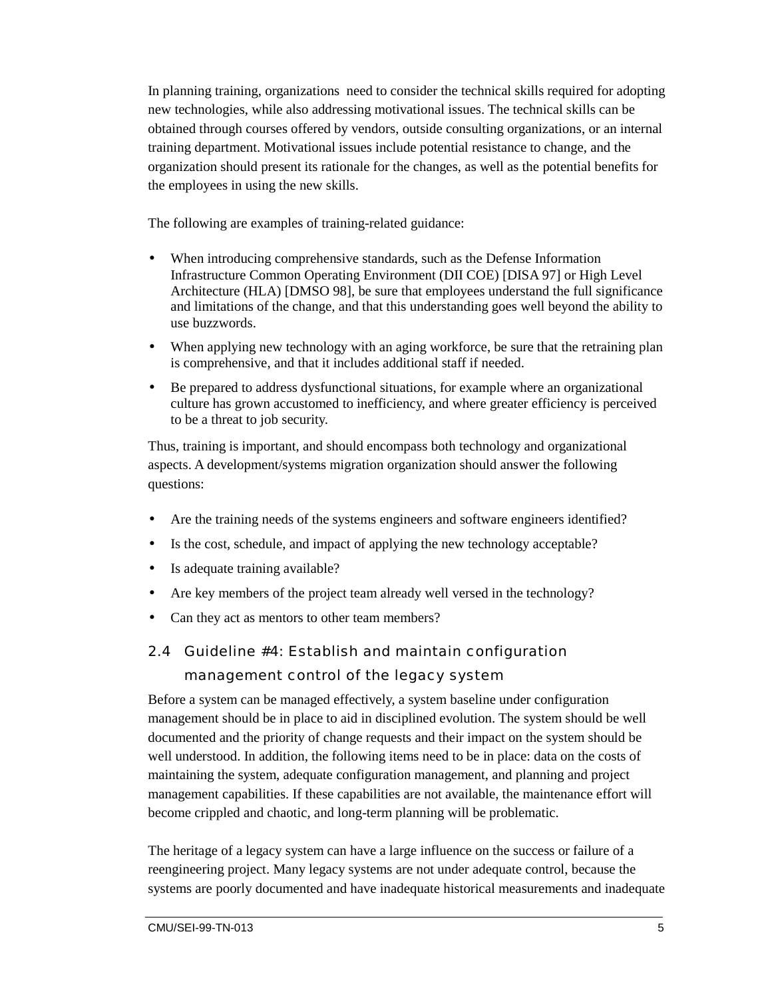<span id="page-10-0"></span>In planning training, organizations need to consider the technical skills required for adopting new technologies, while also addressing motivational issues. The technical skills can be obtained through courses offered by vendors, outside consulting organizations, or an internal training department. Motivational issues include potential resistance to change, and the organization should present its rationale for the changes, as well as the potential benefits for the employees in using the new skills.

The following are examples of training-related guidance:

- When introducing comprehensive standards, such as the Defense Information Infrastructure Common Operating Environment (DII COE) [DISA 97] or High Level Architecture (HLA) [DMSO 98], be sure that employees understand the full significance and limitations of the change, and that this understanding goes well beyond the ability to use buzzwords.
- When applying new technology with an aging workforce, be sure that the retraining plan is comprehensive, and that it includes additional staff if needed.
- Be prepared to address dysfunctional situations, for example where an organizational culture has grown accustomed to inefficiency, and where greater efficiency is perceived to be a threat to job security.

Thus, training is important, and should encompass both technology and organizational aspects. A development/systems migration organization should answer the following questions:

- Are the training needs of the systems engineers and software engineers identified?
- Is the cost, schedule, and impact of applying the new technology acceptable?
- Is adequate training available?
- Are key members of the project team already well versed in the technology?
- Can they act as mentors to other team members?
- 2.4 Guideline #4: Establish and maintain configuration management control of the legacy system

Before a system can be managed effectively, a system baseline under configuration management should be in place to aid in disciplined evolution. The system should be well documented and the priority of change requests and their impact on the system should be well understood. In addition, the following items need to be in place: data on the costs of maintaining the system, adequate configuration management, and planning and project management capabilities. If these capabilities are not available, the maintenance effort will become crippled and chaotic, and long-term planning will be problematic.

The heritage of a legacy system can have a large influence on the success or failure of a reengineering project. Many legacy systems are not under adequate control, because the systems are poorly documented and have inadequate historical measurements and inadequate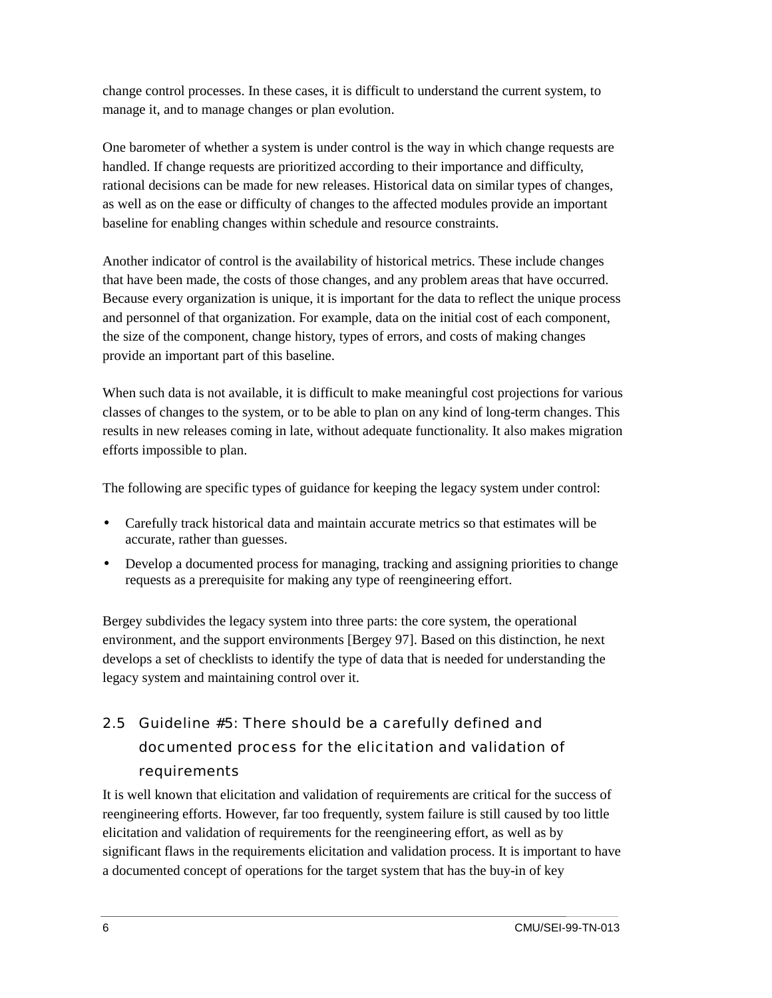<span id="page-11-0"></span>change control processes. In these cases, it is difficult to understand the current system, to manage it, and to manage changes or plan evolution.

One barometer of whether a system is under control is the way in which change requests are handled. If change requests are prioritized according to their importance and difficulty, rational decisions can be made for new releases. Historical data on similar types of changes, as well as on the ease or difficulty of changes to the affected modules provide an important baseline for enabling changes within schedule and resource constraints.

Another indicator of control is the availability of historical metrics. These include changes that have been made, the costs of those changes, and any problem areas that have occurred. Because every organization is unique, it is important for the data to reflect the unique process and personnel of that organization. For example, data on the initial cost of each component, the size of the component, change history, types of errors, and costs of making changes provide an important part of this baseline.

When such data is not available, it is difficult to make meaningful cost projections for various classes of changes to the system, or to be able to plan on any kind of long-term changes. This results in new releases coming in late, without adequate functionality. It also makes migration efforts impossible to plan.

The following are specific types of guidance for keeping the legacy system under control:

- Carefully track historical data and maintain accurate metrics so that estimates will be accurate, rather than guesses.
- Develop a documented process for managing, tracking and assigning priorities to change requests as a prerequisite for making any type of reengineering effort.

Bergey subdivides the legacy system into three parts: the core system, the operational environment, and the support environments [Bergey 97]. Based on this distinction, he next develops a set of checklists to identify the type of data that is needed for understanding the legacy system and maintaining control over it.

## 2.5 Guideline #5: There should be a carefully defined and documented process for the elicitation and validation of requirements

It is well known that elicitation and validation of requirements are critical for the success of reengineering efforts. However, far too frequently, system failure is still caused by too little elicitation and validation of requirements for the reengineering effort, as well as by significant flaws in the requirements elicitation and validation process. It is important to have a documented concept of operations for the target system that has the buy-in of key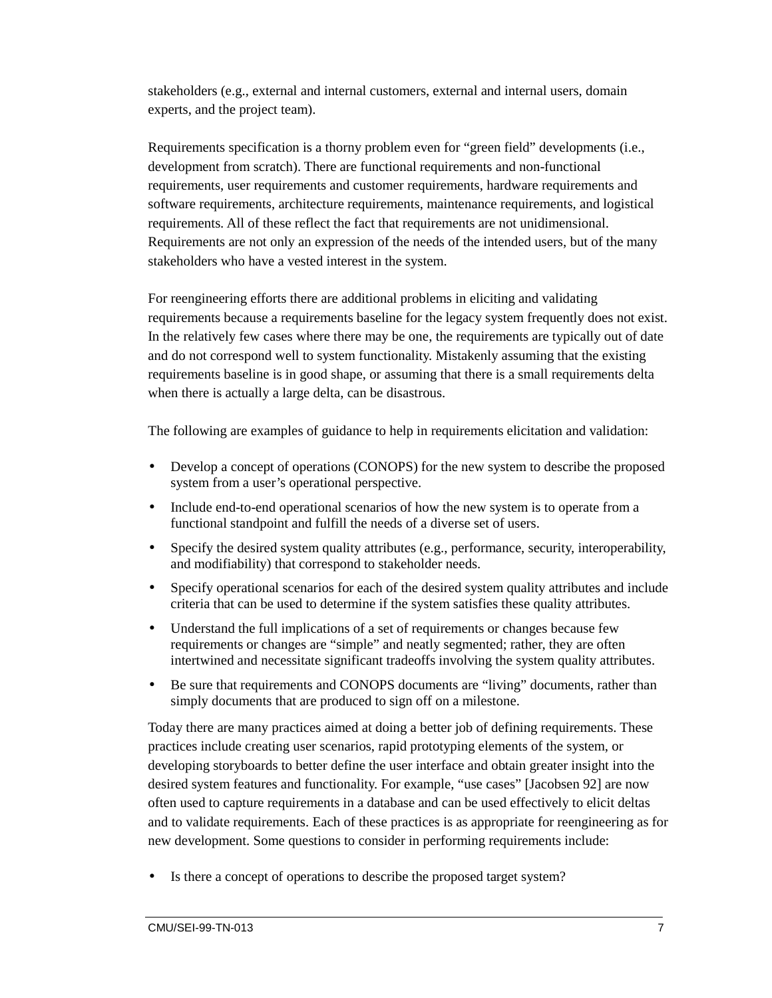stakeholders (e.g., external and internal customers, external and internal users, domain experts, and the project team).

Requirements specification is a thorny problem even for "green field" developments (i.e., development from scratch). There are functional requirements and non-functional requirements, user requirements and customer requirements, hardware requirements and software requirements, architecture requirements, maintenance requirements, and logistical requirements. All of these reflect the fact that requirements are not unidimensional. Requirements are not only an expression of the needs of the intended users, but of the many stakeholders who have a vested interest in the system.

For reengineering efforts there are additional problems in eliciting and validating requirements because a requirements baseline for the legacy system frequently does not exist. In the relatively few cases where there may be one, the requirements are typically out of date and do not correspond well to system functionality. Mistakenly assuming that the existing requirements baseline is in good shape, or assuming that there is a small requirements delta when there is actually a large delta, can be disastrous.

The following are examples of guidance to help in requirements elicitation and validation:

- Develop a concept of operations (CONOPS) for the new system to describe the proposed system from a user's operational perspective.
- Include end-to-end operational scenarios of how the new system is to operate from a functional standpoint and fulfill the needs of a diverse set of users.
- Specify the desired system quality attributes (e.g., performance, security, interoperability, and modifiability) that correspond to stakeholder needs.
- Specify operational scenarios for each of the desired system quality attributes and include criteria that can be used to determine if the system satisfies these quality attributes.
- Understand the full implications of a set of requirements or changes because few requirements or changes are "simple" and neatly segmented; rather, they are often intertwined and necessitate significant tradeoffs involving the system quality attributes.
- Be sure that requirements and CONOPS documents are "living" documents, rather than simply documents that are produced to sign off on a milestone.

Today there are many practices aimed at doing a better job of defining requirements. These practices include creating user scenarios, rapid prototyping elements of the system, or developing storyboards to better define the user interface and obtain greater insight into the desired system features and functionality. For example, "use cases" [Jacobsen 92] are now often used to capture requirements in a database and can be used effectively to elicit deltas and to validate requirements. Each of these practices is as appropriate for reengineering as for new development. Some questions to consider in performing requirements include:

Is there a concept of operations to describe the proposed target system?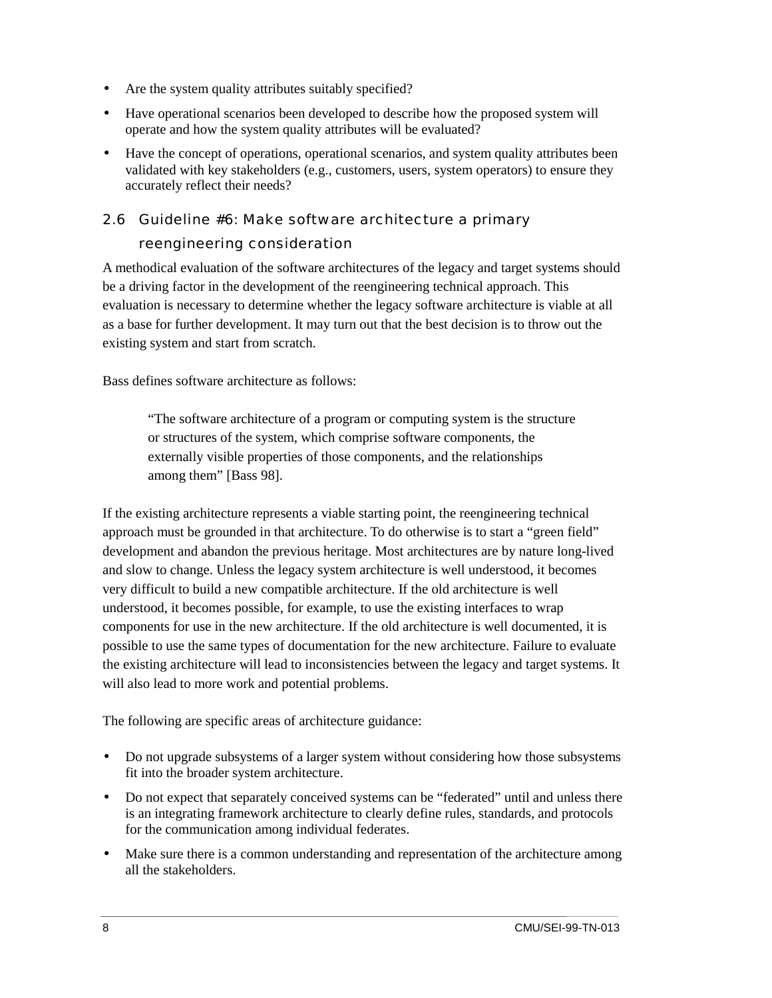- <span id="page-13-0"></span>• Are the system quality attributes suitably specified?
- Have operational scenarios been developed to describe how the proposed system will operate and how the system quality attributes will be evaluated?
- Have the concept of operations, operational scenarios, and system quality attributes been validated with key stakeholders (e.g., customers, users, system operators) to ensure they accurately reflect their needs?

#### 2.6 Guideline #6: Make software architecture a primary

#### reengineering consideration

A methodical evaluation of the software architectures of the legacy and target systems should be a driving factor in the development of the reengineering technical approach. This evaluation is necessary to determine whether the legacy software architecture is viable at all as a base for further development. It may turn out that the best decision is to throw out the existing system and start from scratch.

Bass defines software architecture as follows:

"The software architecture of a program or computing system is the structure or structures of the system, which comprise software components, the externally visible properties of those components, and the relationships among them" [Bass 98].

If the existing architecture represents a viable starting point, the reengineering technical approach must be grounded in that architecture. To do otherwise is to start a "green field" development and abandon the previous heritage. Most architectures are by nature long-lived and slow to change. Unless the legacy system architecture is well understood, it becomes very difficult to build a new compatible architecture. If the old architecture is well understood, it becomes possible, for example, to use the existing interfaces to wrap components for use in the new architecture. If the old architecture is well documented, it is possible to use the same types of documentation for the new architecture. Failure to evaluate the existing architecture will lead to inconsistencies between the legacy and target systems. It will also lead to more work and potential problems.

The following are specific areas of architecture guidance:

- Do not upgrade subsystems of a larger system without considering how those subsystems fit into the broader system architecture.
- Do not expect that separately conceived systems can be "federated" until and unless there is an integrating framework architecture to clearly define rules, standards, and protocols for the communication among individual federates.
- Make sure there is a common understanding and representation of the architecture among all the stakeholders.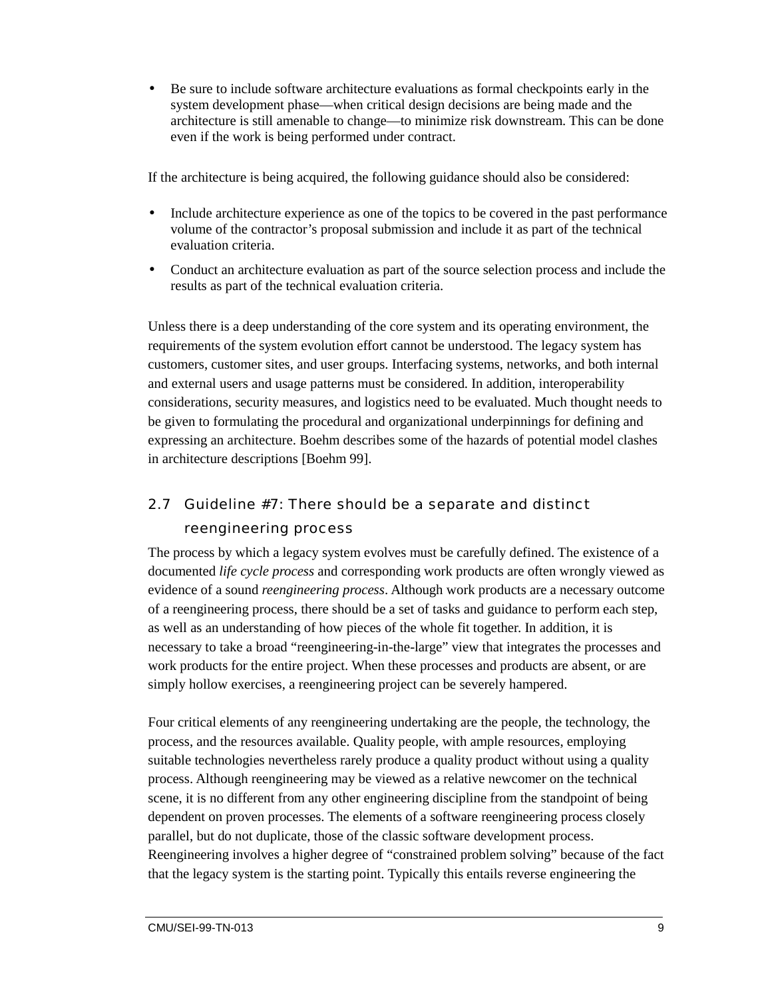<span id="page-14-0"></span>• Be sure to include software architecture evaluations as formal checkpoints early in the system development phase—when critical design decisions are being made and the architecture is still amenable to change—to minimize risk downstream. This can be done even if the work is being performed under contract.

If the architecture is being acquired, the following guidance should also be considered:

- Include architecture experience as one of the topics to be covered in the past performance volume of the contractor's proposal submission and include it as part of the technical evaluation criteria.
- Conduct an architecture evaluation as part of the source selection process and include the results as part of the technical evaluation criteria.

Unless there is a deep understanding of the core system and its operating environment, the requirements of the system evolution effort cannot be understood. The legacy system has customers, customer sites, and user groups. Interfacing systems, networks, and both internal and external users and usage patterns must be considered. In addition, interoperability considerations, security measures, and logistics need to be evaluated. Much thought needs to be given to formulating the procedural and organizational underpinnings for defining and expressing an architecture. Boehm describes some of the hazards of potential model clashes in architecture descriptions [Boehm 99].

### 2.7 Guideline #7: There should be a separate and distinct reengineering process

The process by which a legacy system evolves must be carefully defined. The existence of a documented *life cycle process* and corresponding work products are often wrongly viewed as evidence of a sound *reengineering process*. Although work products are a necessary outcome of a reengineering process, there should be a set of tasks and guidance to perform each step, as well as an understanding of how pieces of the whole fit together. In addition, it is necessary to take a broad "reengineering-in-the-large" view that integrates the processes and work products for the entire project. When these processes and products are absent, or are simply hollow exercises, a reengineering project can be severely hampered.

Four critical elements of any reengineering undertaking are the people, the technology, the process, and the resources available. Quality people, with ample resources, employing suitable technologies nevertheless rarely produce a quality product without using a quality process. Although reengineering may be viewed as a relative newcomer on the technical scene, it is no different from any other engineering discipline from the standpoint of being dependent on proven processes. The elements of a software reengineering process closely parallel, but do not duplicate, those of the classic software development process. Reengineering involves a higher degree of "constrained problem solving" because of the fact that the legacy system is the starting point. Typically this entails reverse engineering the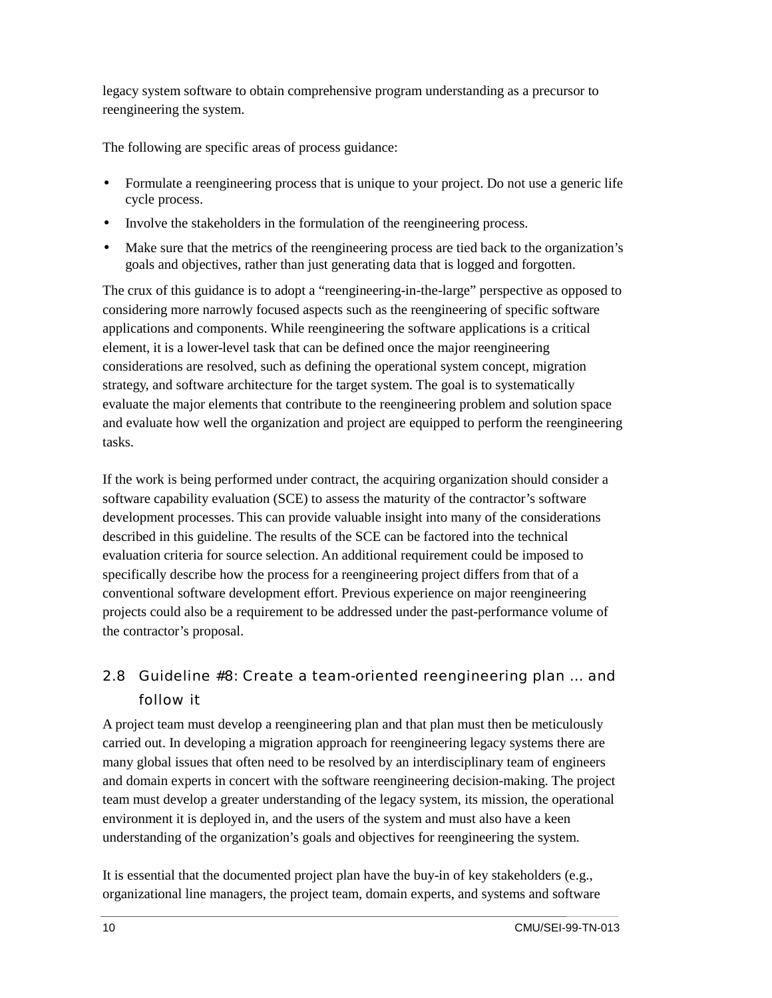<span id="page-15-0"></span>legacy system software to obtain comprehensive program understanding as a precursor to reengineering the system.

The following are specific areas of process guidance:

- Formulate a reengineering process that is unique to your project. Do not use a generic life cycle process.
- Involve the stakeholders in the formulation of the reengineering process.
- Make sure that the metrics of the reengineering process are tied back to the organization's goals and objectives, rather than just generating data that is logged and forgotten.

The crux of this guidance is to adopt a "reengineering-in-the-large" perspective as opposed to considering more narrowly focused aspects such as the reengineering of specific software applications and components. While reengineering the software applications is a critical element, it is a lower-level task that can be defined once the major reengineering considerations are resolved, such as defining the operational system concept, migration strategy, and software architecture for the target system. The goal is to systematically evaluate the major elements that contribute to the reengineering problem and solution space and evaluate how well the organization and project are equipped to perform the reengineering tasks.

If the work is being performed under contract, the acquiring organization should consider a software capability evaluation (SCE) to assess the maturity of the contractor's software development processes. This can provide valuable insight into many of the considerations described in this guideline. The results of the SCE can be factored into the technical evaluation criteria for source selection. An additional requirement could be imposed to specifically describe how the process for a reengineering project differs from that of a conventional software development effort. Previous experience on major reengineering projects could also be a requirement to be addressed under the past-performance volume of the contractor's proposal.

### 2.8 Guideline #8: Create a team-oriented reengineering plan … and follow it

A project team must develop a reengineering plan and that plan must then be meticulously carried out. In developing a migration approach for reengineering legacy systems there are many global issues that often need to be resolved by an interdisciplinary team of engineers and domain experts in concert with the software reengineering decision-making. The project team must develop a greater understanding of the legacy system, its mission, the operational environment it is deployed in, and the users of the system and must also have a keen understanding of the organization's goals and objectives for reengineering the system.

It is essential that the documented project plan have the buy-in of key stakeholders (e.g., organizational line managers, the project team, domain experts, and systems and software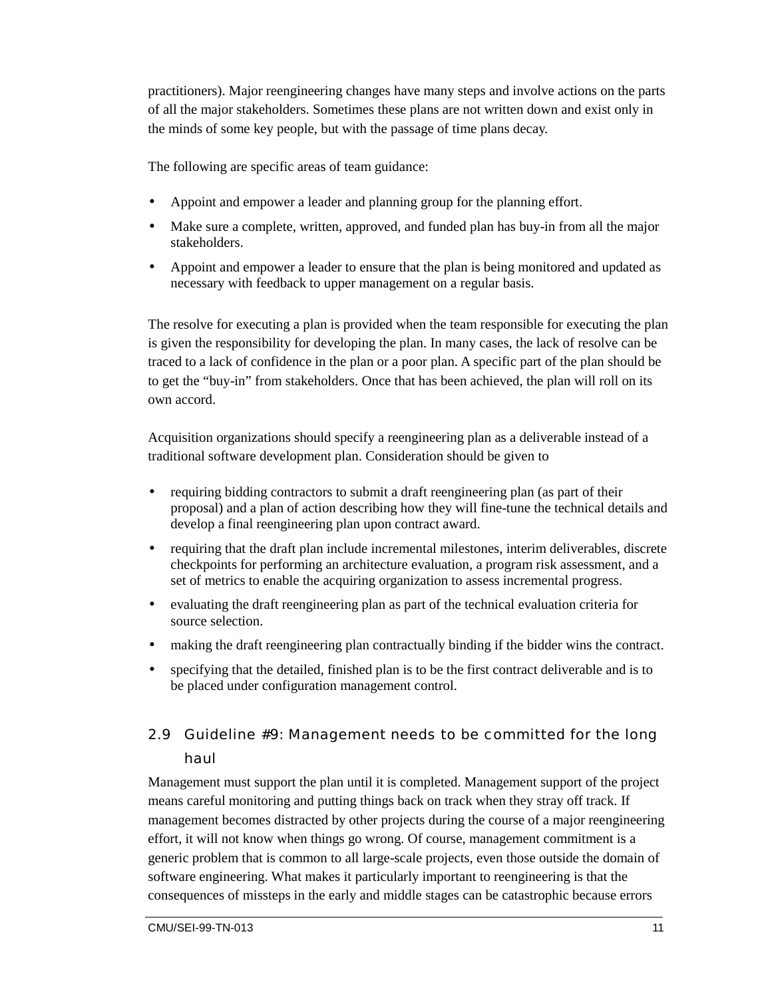<span id="page-16-0"></span>practitioners). Major reengineering changes have many steps and involve actions on the parts of all the major stakeholders. Sometimes these plans are not written down and exist only in the minds of some key people, but with the passage of time plans decay.

The following are specific areas of team guidance:

- Appoint and empower a leader and planning group for the planning effort.
- Make sure a complete, written, approved, and funded plan has buy-in from all the major stakeholders.
- Appoint and empower a leader to ensure that the plan is being monitored and updated as necessary with feedback to upper management on a regular basis.

The resolve for executing a plan is provided when the team responsible for executing the plan is given the responsibility for developing the plan. In many cases, the lack of resolve can be traced to a lack of confidence in the plan or a poor plan. A specific part of the plan should be to get the "buy-in" from stakeholders. Once that has been achieved, the plan will roll on its own accord.

Acquisition organizations should specify a reengineering plan as a deliverable instead of a traditional software development plan. Consideration should be given to

- requiring bidding contractors to submit a draft reengineering plan (as part of their proposal) and a plan of action describing how they will fine-tune the technical details and develop a final reengineering plan upon contract award.
- requiring that the draft plan include incremental milestones, interim deliverables, discrete checkpoints for performing an architecture evaluation, a program risk assessment, and a set of metrics to enable the acquiring organization to assess incremental progress.
- evaluating the draft reengineering plan as part of the technical evaluation criteria for source selection.
- making the draft reengineering plan contractually binding if the bidder wins the contract.
- specifying that the detailed, finished plan is to be the first contract deliverable and is to be placed under configuration management control.

### 2.9 Guideline #9: Management needs to be committed for the long haul

Management must support the plan until it is completed. Management support of the project means careful monitoring and putting things back on track when they stray off track. If management becomes distracted by other projects during the course of a major reengineering effort, it will not know when things go wrong. Of course, management commitment is a generic problem that is common to all large-scale projects, even those outside the domain of software engineering. What makes it particularly important to reengineering is that the consequences of missteps in the early and middle stages can be catastrophic because errors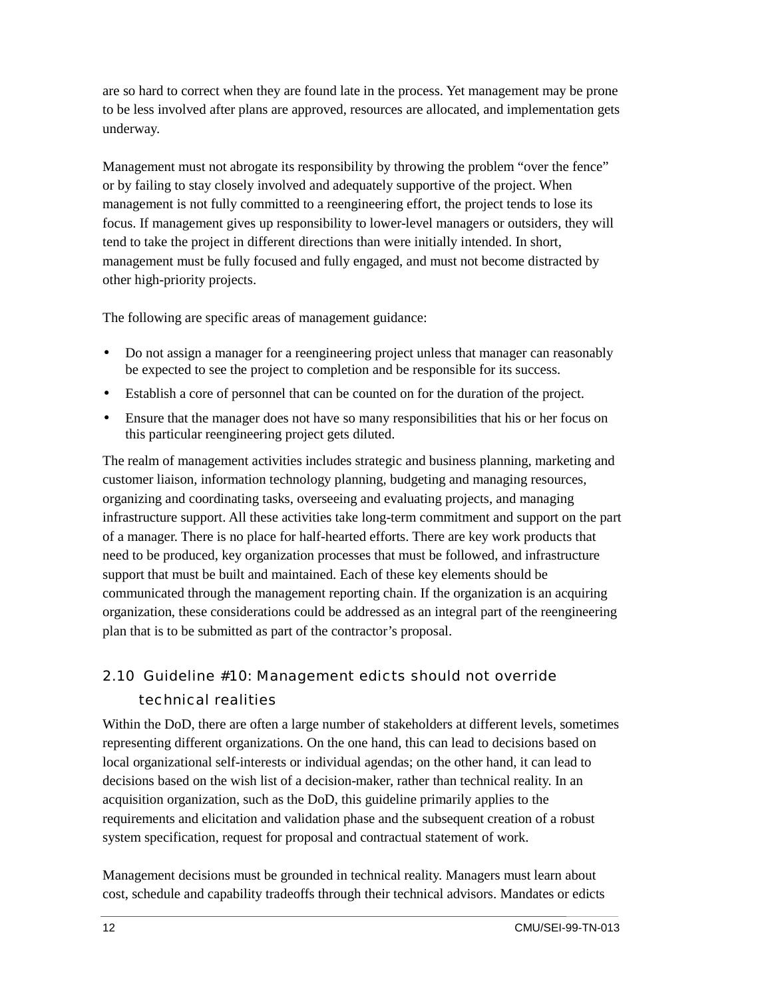<span id="page-17-0"></span>are so hard to correct when they are found late in the process. Yet management may be prone to be less involved after plans are approved, resources are allocated, and implementation gets underway.

Management must not abrogate its responsibility by throwing the problem "over the fence" or by failing to stay closely involved and adequately supportive of the project. When management is not fully committed to a reengineering effort, the project tends to lose its focus. If management gives up responsibility to lower-level managers or outsiders, they will tend to take the project in different directions than were initially intended. In short, management must be fully focused and fully engaged, and must not become distracted by other high-priority projects.

The following are specific areas of management guidance:

- Do not assign a manager for a reengineering project unless that manager can reasonably be expected to see the project to completion and be responsible for its success.
- Establish a core of personnel that can be counted on for the duration of the project.
- Ensure that the manager does not have so many responsibilities that his or her focus on this particular reengineering project gets diluted.

The realm of management activities includes strategic and business planning, marketing and customer liaison, information technology planning, budgeting and managing resources, organizing and coordinating tasks, overseeing and evaluating projects, and managing infrastructure support. All these activities take long-term commitment and support on the part of a manager. There is no place for half-hearted efforts. There are key work products that need to be produced, key organization processes that must be followed, and infrastructure support that must be built and maintained. Each of these key elements should be communicated through the management reporting chain. If the organization is an acquiring organization, these considerations could be addressed as an integral part of the reengineering plan that is to be submitted as part of the contractor's proposal.

### 2.10 Guideline #10: Management edicts should not override technical realities

Within the DoD, there are often a large number of stakeholders at different levels, sometimes representing different organizations. On the one hand, this can lead to decisions based on local organizational self-interests or individual agendas; on the other hand, it can lead to decisions based on the wish list of a decision-maker, rather than technical reality. In an acquisition organization, such as the DoD, this guideline primarily applies to the requirements and elicitation and validation phase and the subsequent creation of a robust system specification, request for proposal and contractual statement of work.

Management decisions must be grounded in technical reality. Managers must learn about cost, schedule and capability tradeoffs through their technical advisors. Mandates or edicts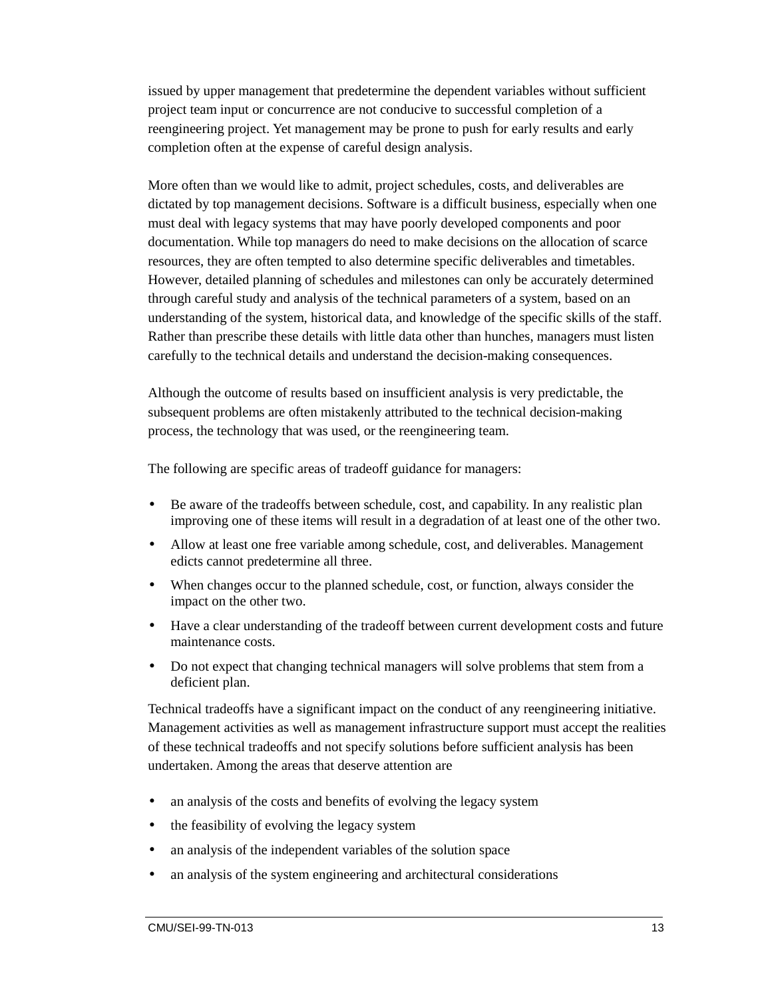issued by upper management that predetermine the dependent variables without sufficient project team input or concurrence are not conducive to successful completion of a reengineering project. Yet management may be prone to push for early results and early completion often at the expense of careful design analysis.

More often than we would like to admit, project schedules, costs, and deliverables are dictated by top management decisions. Software is a difficult business, especially when one must deal with legacy systems that may have poorly developed components and poor documentation. While top managers do need to make decisions on the allocation of scarce resources, they are often tempted to also determine specific deliverables and timetables. However, detailed planning of schedules and milestones can only be accurately determined through careful study and analysis of the technical parameters of a system, based on an understanding of the system, historical data, and knowledge of the specific skills of the staff. Rather than prescribe these details with little data other than hunches, managers must listen carefully to the technical details and understand the decision-making consequences.

Although the outcome of results based on insufficient analysis is very predictable, the subsequent problems are often mistakenly attributed to the technical decision-making process, the technology that was used, or the reengineering team.

The following are specific areas of tradeoff guidance for managers:

- Be aware of the tradeoffs between schedule, cost, and capability. In any realistic plan improving one of these items will result in a degradation of at least one of the other two.
- Allow at least one free variable among schedule, cost, and deliverables. Management edicts cannot predetermine all three.
- When changes occur to the planned schedule, cost, or function, always consider the impact on the other two.
- Have a clear understanding of the tradeoff between current development costs and future maintenance costs.
- Do not expect that changing technical managers will solve problems that stem from a deficient plan.

Technical tradeoffs have a significant impact on the conduct of any reengineering initiative. Management activities as well as management infrastructure support must accept the realities of these technical tradeoffs and not specify solutions before sufficient analysis has been undertaken. Among the areas that deserve attention are

- an analysis of the costs and benefits of evolving the legacy system
- the feasibility of evolving the legacy system
- an analysis of the independent variables of the solution space
- an analysis of the system engineering and architectural considerations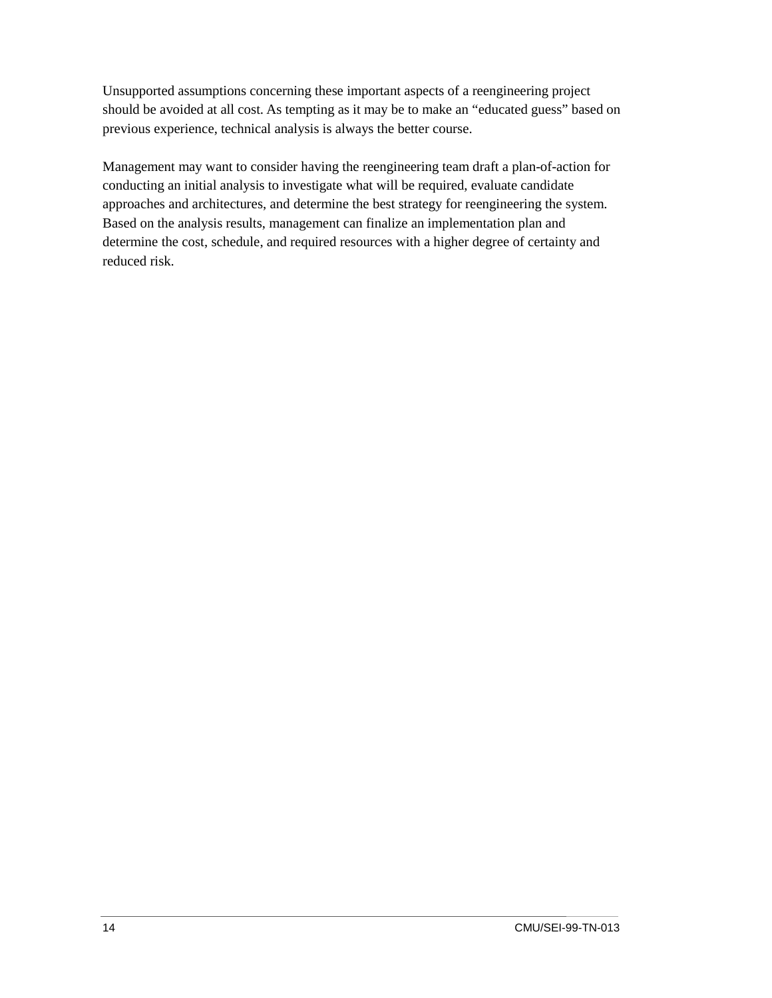Unsupported assumptions concerning these important aspects of a reengineering project should be avoided at all cost. As tempting as it may be to make an "educated guess" based on previous experience, technical analysis is always the better course.

Management may want to consider having the reengineering team draft a plan-of-action for conducting an initial analysis to investigate what will be required, evaluate candidate approaches and architectures, and determine the best strategy for reengineering the system. Based on the analysis results, management can finalize an implementation plan and determine the cost, schedule, and required resources with a higher degree of certainty and reduced risk.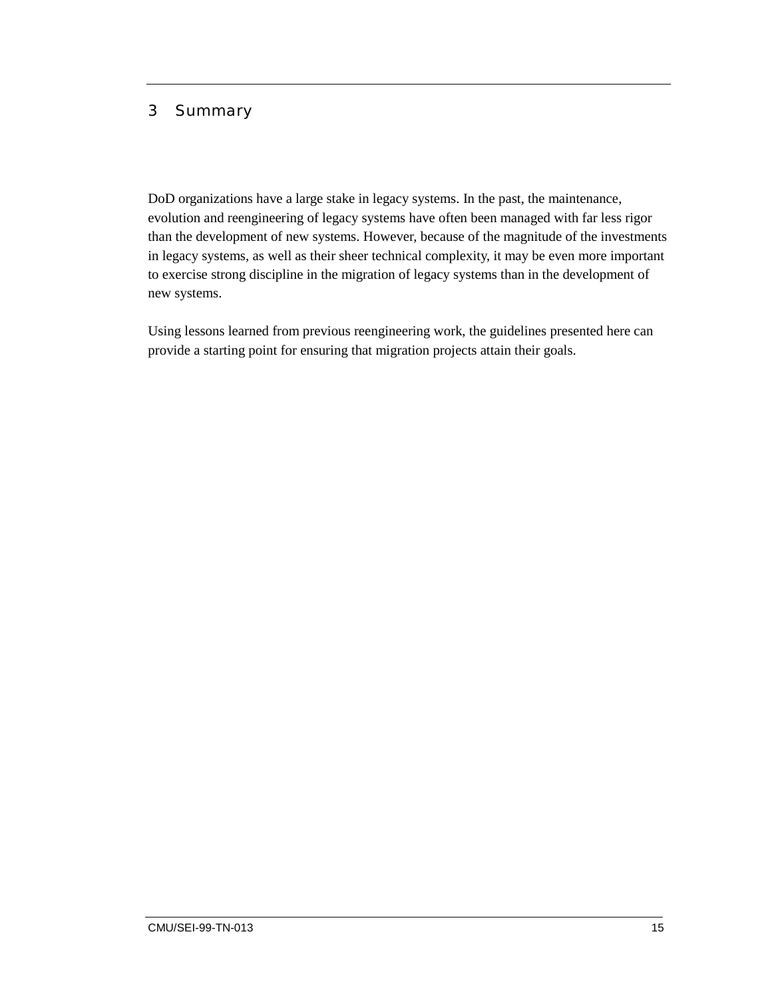#### <span id="page-20-0"></span>3 Summary

DoD organizations have a large stake in legacy systems. In the past, the maintenance, evolution and reengineering of legacy systems have often been managed with far less rigor than the development of new systems. However, because of the magnitude of the investments in legacy systems, as well as their sheer technical complexity, it may be even more important to exercise strong discipline in the migration of legacy systems than in the development of new systems.

Using lessons learned from previous reengineering work, the guidelines presented here can provide a starting point for ensuring that migration projects attain their goals.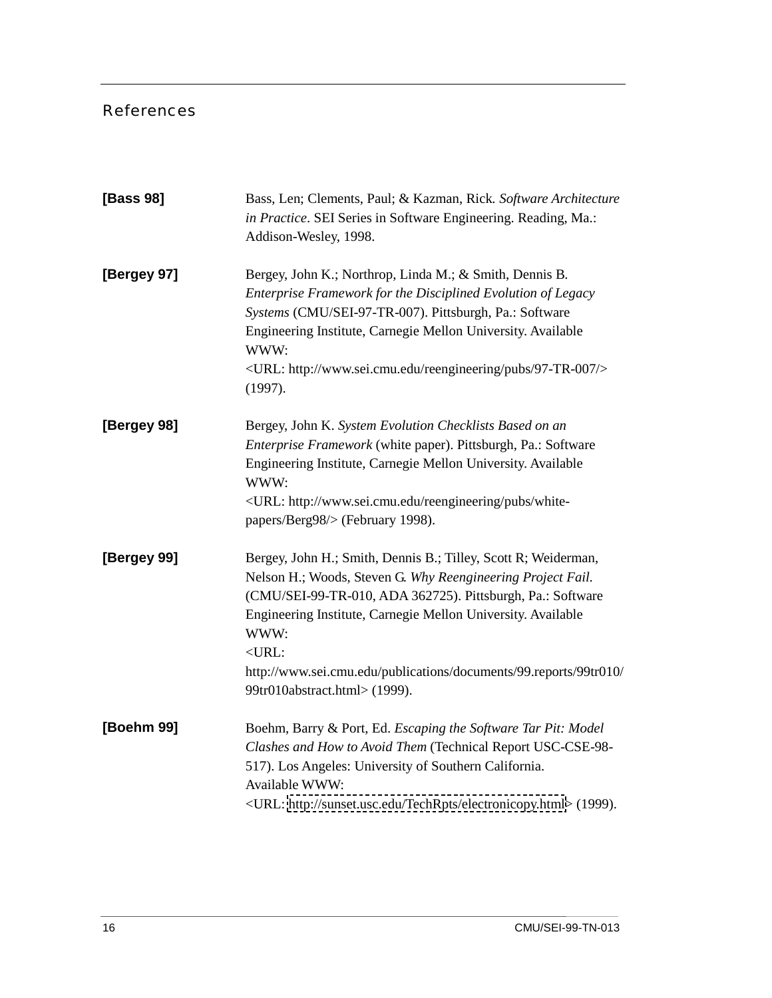#### <span id="page-21-0"></span>References

| [Bass 98]   | Bass, Len; Clements, Paul; & Kazman, Rick. Software Architecture<br>in Practice. SEI Series in Software Engineering. Reading, Ma.:<br>Addison-Wesley, 1998.                                                                                                                                                                                                                           |
|-------------|---------------------------------------------------------------------------------------------------------------------------------------------------------------------------------------------------------------------------------------------------------------------------------------------------------------------------------------------------------------------------------------|
| [Bergey 97] | Bergey, John K.; Northrop, Linda M.; & Smith, Dennis B.<br>Enterprise Framework for the Disciplined Evolution of Legacy<br>Systems (CMU/SEI-97-TR-007). Pittsburgh, Pa.: Software<br>Engineering Institute, Carnegie Mellon University. Available<br>WWW:<br><url: 97-tr-007="" http:="" pubs="" reengineering="" www.sei.cmu.edu=""></url:><br>(1997).                               |
| [Bergey 98] | Bergey, John K. System Evolution Checklists Based on an<br>Enterprise Framework (white paper). Pittsburgh, Pa.: Software<br>Engineering Institute, Carnegie Mellon University. Available<br>WWW:<br><url: http:="" pubs="" reengineering="" white-<br="" www.sei.cmu.edu="">papers/Berg98/&gt; (February 1998).</url:>                                                                |
| [Bergey 99] | Bergey, John H.; Smith, Dennis B.; Tilley, Scott R; Weiderman,<br>Nelson H.; Woods, Steven G. Why Reengineering Project Fail.<br>(CMU/SEI-99-TR-010, ADA 362725). Pittsburgh, Pa.: Software<br>Engineering Institute, Carnegie Mellon University. Available<br>WWW:<br>$<$ URL:<br>http://www.sei.cmu.edu/publications/documents/99.reports/99tr010/<br>99tr010abstract.html> (1999). |
| [Boehm 99]  | Boehm, Barry & Port, Ed. Escaping the Software Tar Pit: Model<br>Clashes and How to Avoid Them (Technical Report USC-CSE-98-<br>517). Los Angeles: University of Southern California.<br>Available WWW:<br><url: electronicopy.html="" http:="" sunset.usc.edu="" techrpts=""> (1999).</url:>                                                                                         |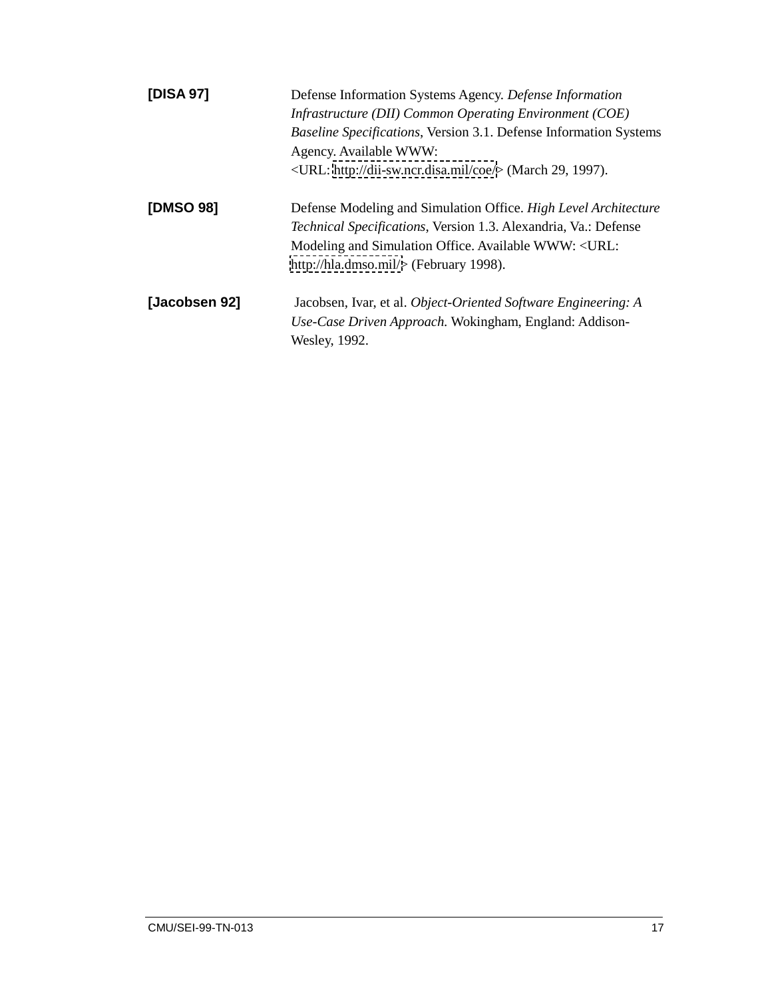| [DISA 97]        | Defense Information Systems Agency. Defense Information<br>Infrastructure (DII) Common Operating Environment (COE)<br>Baseline Specifications, Version 3.1. Defense Information Systems<br>Agency. Available WWW:<br><url: coe="" dii-sw.ncr.disa.mil="" http:=""></url:> (March 29, 1997). |
|------------------|---------------------------------------------------------------------------------------------------------------------------------------------------------------------------------------------------------------------------------------------------------------------------------------------|
| <b>[DMSO 98]</b> | Defense Modeling and Simulation Office. High Level Architecture<br><i>Technical Specifications, Version 1.3. Alexandria, Va.: Defense</i><br>Modeling and Simulation Office. Available WWW: <url:<br>http://hla.dmso.mil/<math>&gt;</math> (February 1998).</url:<br>                       |
| [Jacobsen 92]    | Jacobsen, Ivar, et al. Object-Oriented Software Engineering: A<br>Use-Case Driven Approach. Wokingham, England: Addison-<br>Wesley, 1992.                                                                                                                                                   |